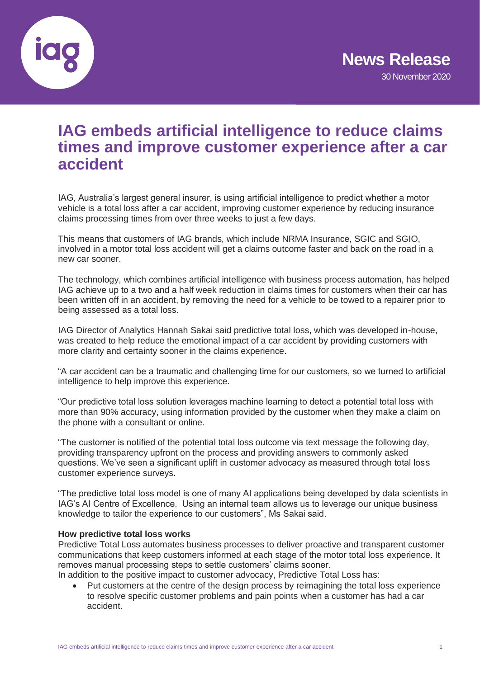

# **IAG embeds artificial intelligence to reduce claims times and improve customer experience after a car accident**

IAG, Australia's largest general insurer, is using artificial intelligence to predict whether a motor vehicle is a total loss after a car accident, improving customer experience by reducing insurance claims processing times from over three weeks to just a few days.

This means that customers of IAG brands, which include NRMA Insurance, SGIC and SGIO, involved in a motor total loss accident will get a claims outcome faster and back on the road in a new car sooner.

The technology, which combines artificial intelligence with business process automation, has helped IAG achieve up to a two and a half week reduction in claims times for customers when their car has been written off in an accident, by removing the need for a vehicle to be towed to a repairer prior to being assessed as a total loss.

IAG Director of Analytics Hannah Sakai said predictive total loss, which was developed in-house, was created to help reduce the emotional impact of a car accident by providing customers with more clarity and certainty sooner in the claims experience.

"A car accident can be a traumatic and challenging time for our customers, so we turned to artificial intelligence to help improve this experience.

"Our predictive total loss solution leverages machine learning to detect a potential total loss with more than 90% accuracy, using information provided by the customer when they make a claim on the phone with a consultant or online.

"The customer is notified of the potential total loss outcome via text message the following day, providing transparency upfront on the process and providing answers to commonly asked questions. We've seen a significant uplift in customer advocacy as measured through total loss customer experience surveys.

"The predictive total loss model is one of many AI applications being developed by data scientists in IAG's AI Centre of Excellence. Using an internal team allows us to leverage our unique business knowledge to tailor the experience to our customers", Ms Sakai said.

## **How predictive total loss works**

Predictive Total Loss automates business processes to deliver proactive and transparent customer communications that keep customers informed at each stage of the motor total loss experience. It removes manual processing steps to settle customers' claims sooner. In addition to the positive impact to customer advocacy, Predictive Total Loss has:

• Put customers at the centre of the design process by reimagining the total loss experience to resolve specific customer problems and pain points when a customer has had a car accident.